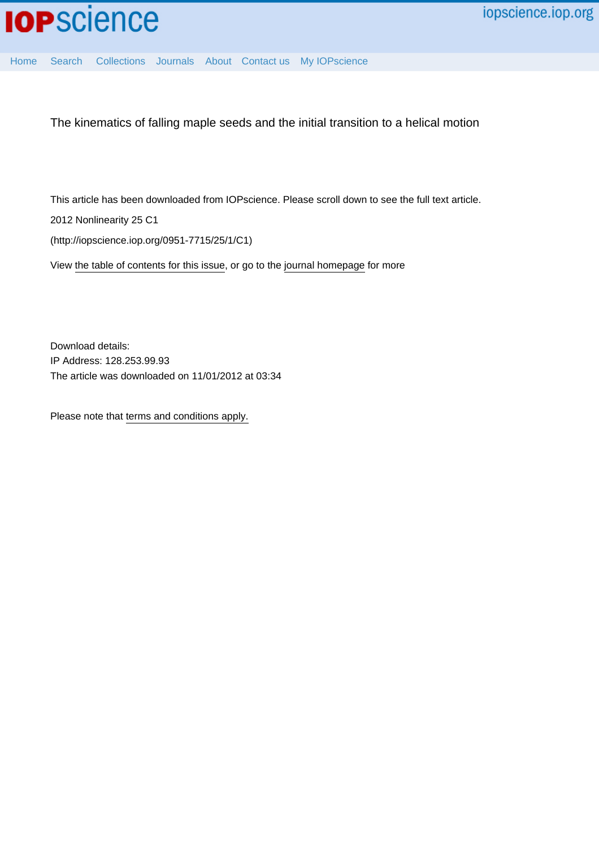

[Home](http://iopscience.iop.org/) [Search](http://iopscience.iop.org/search) [Collections](http://iopscience.iop.org/collections) [Journals](http://iopscience.iop.org/journals) [About](http://iopscience.iop.org/page/aboutioppublishing) [Contact us](http://iopscience.iop.org/contact) [My IOPscience](http://iopscience.iop.org/myiopscience)

The kinematics of falling maple seeds and the initial transition to a helical motion

This article has been downloaded from IOPscience. Please scroll down to see the full text article.

2012 Nonlinearity 25 C1

(http://iopscience.iop.org/0951-7715/25/1/C1)

View [the table of contents for this issue](http://iopscience.iop.org/0951-7715/25/1), or go to the [journal homepage](http://iopscience.iop.org/0951-7715) for more

Download details: IP Address: 128.253.99.93 The article was downloaded on 11/01/2012 at 03:34

Please note that [terms and conditions apply.](http://iopscience.iop.org/page/terms)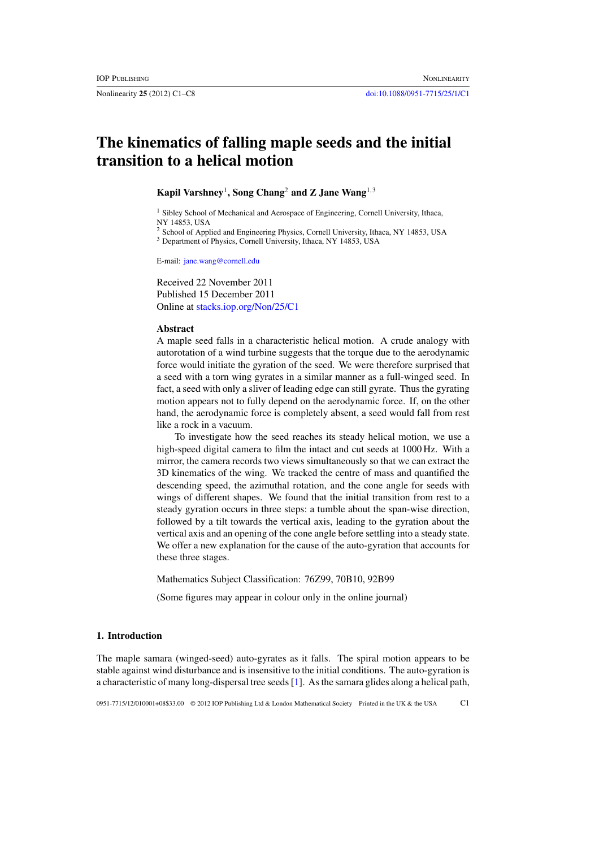# **The kinematics of falling maple seeds and the initial transition to a helical motion**

**Kapil Varshney**1**, Song Chang**<sup>2</sup> **and Z Jane Wang**1*,*<sup>3</sup>

<sup>1</sup> Sibley School of Mechanical and Aerospace of Engineering, Cornell University, Ithaca, NY 14853, USA

<sup>2</sup> School of Applied and Engineering Physics, Cornell University, Ithaca, NY 14853, USA

<sup>3</sup> Department of Physics, Cornell University, Ithaca, NY 14853, USA

E-mail: [jane.wang@cornell.edu](mailto: jane.wang@cornell.edu)

Received 22 November 2011 Published 15 December 2011 Online at [stacks.iop.org/Non/25/C1](http://stacks.iop.org/no/25/C1)

### **Abstract**

A maple seed falls in a characteristic helical motion. A crude analogy with autorotation of a wind turbine suggests that the torque due to the aerodynamic force would initiate the gyration of the seed. We were therefore surprised that a seed with a torn wing gyrates in a similar manner as a full-winged seed. In fact, a seed with only a sliver of leading edge can still gyrate. Thus the gyrating motion appears not to fully depend on the aerodynamic force. If, on the other hand, the aerodynamic force is completely absent, a seed would fall from rest like a rock in a vacuum.

To investigate how the seed reaches its steady helical motion, we use a high-speed digital camera to film the intact and cut seeds at 1000 Hz. With a mirror, the camera records two views simultaneously so that we can extract the 3D kinematics of the wing. We tracked the centre of mass and quantified the descending speed, the azimuthal rotation, and the cone angle for seeds with wings of different shapes. We found that the initial transition from rest to a steady gyration occurs in three steps: a tumble about the span-wise direction, followed by a tilt towards the vertical axis, leading to the gyration about the vertical axis and an opening of the cone angle before settling into a steady state. We offer a new explanation for the cause of the auto-gyration that accounts for these three stages.

Mathematics Subject Classification: 76Z99, 70B10, 92B99

(Some figures may appear in colour only in the online journal)

#### **1. Introduction**

The maple samara (winged-seed) auto-gyrates as it falls. The spiral motion appears to be stable against wind disturbance and is insensitive to the initial conditions. The auto-gyration is a characteristic of many long-dispersal tree seeds [\[1\]](#page-8-0). As the samara glides along a helical path,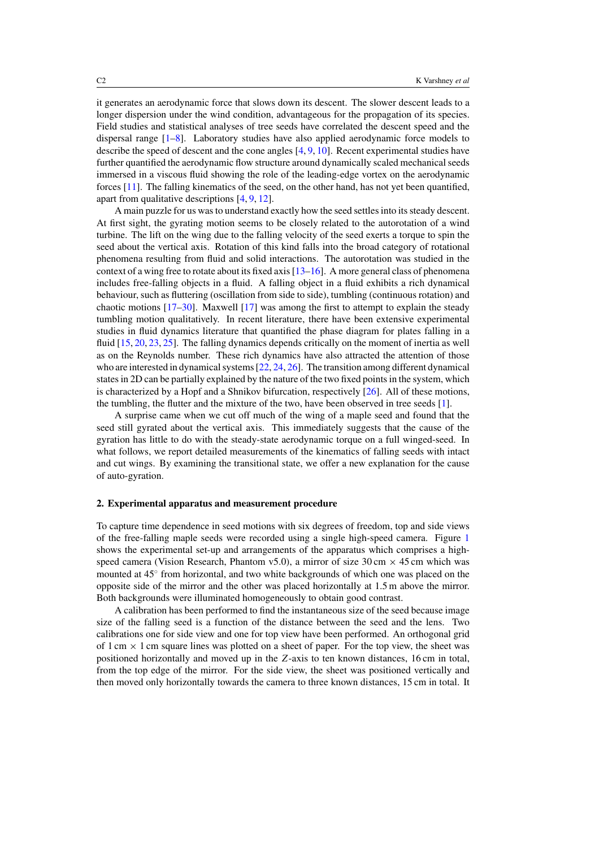it generates an aerodynamic force that slows down its descent. The slower descent leads to a longer dispersion under the wind condition, advantageous for the propagation of its species. Field studies and statistical analyses of tree seeds have correlated the descent speed and the dispersal range [\[1–8\]](#page-8-0). Laboratory studies have also applied aerodynamic force models to describe the speed of descent and the cone angles [\[4,](#page-8-0) [9,](#page-8-0) [10\]](#page-8-0). Recent experimental studies have further quantified the aerodynamic flow structure around dynamically scaled mechanical seeds immersed in a viscous fluid showing the role of the leading-edge vortex on the aerodynamic forces [\[11\]](#page-8-0). The falling kinematics of the seed, on the other hand, has not yet been quantified, apart from qualitative descriptions [\[4,](#page-8-0) [9,](#page-8-0) [12\]](#page-8-0).

A main puzzle for us was to understand exactly how the seed settles into its steady descent. At first sight, the gyrating motion seems to be closely related to the autorotation of a wind turbine. The lift on the wing due to the falling velocity of the seed exerts a torque to spin the seed about the vertical axis. Rotation of this kind falls into the broad category of rotational phenomena resulting from fluid and solid interactions. The autorotation was studied in the context of a wing free to rotate about its fixed axis  $[13–16]$ . A more general class of phenomena includes free-falling objects in a fluid. A falling object in a fluid exhibits a rich dynamical behaviour, such as fluttering (oscillation from side to side), tumbling (continuous rotation) and chaotic motions  $[17–30]$ . Maxwell  $[17]$  was among the first to attempt to explain the steady tumbling motion qualitatively. In recent literature, there have been extensive experimental studies in fluid dynamics literature that quantified the phase diagram for plates falling in a fluid [\[15,](#page-8-0) [20,](#page-8-0) [23,](#page-8-0) [25\]](#page-8-0). The falling dynamics depends critically on the moment of inertia as well as on the Reynolds number. These rich dynamics have also attracted the attention of those who are interested in dynamical systems [\[22,](#page-8-0) [24,](#page-8-0) [26\]](#page-8-0). The transition among different dynamical states in 2D can be partially explained by the nature of the two fixed points in the system, which is characterized by a Hopf and a Shnikov bifurcation, respectively [\[26\]](#page-8-0). All of these motions, the tumbling, the flutter and the mixture of the two, have been observed in tree seeds [\[1\]](#page-8-0).

A surprise came when we cut off much of the wing of a maple seed and found that the seed still gyrated about the vertical axis. This immediately suggests that the cause of the gyration has little to do with the steady-state aerodynamic torque on a full winged-seed. In what follows, we report detailed measurements of the kinematics of falling seeds with intact and cut wings. By examining the transitional state, we offer a new explanation for the cause of auto-gyration.

#### **2. Experimental apparatus and measurement procedure**

To capture time dependence in seed motions with six degrees of freedom, top and side views of the free-falling maple seeds were recorded using a single high-speed camera. Figure [1](#page-3-0) shows the experimental set-up and arrangements of the apparatus which comprises a highspeed camera (Vision Research, Phantom v5.0), a mirror of size 30 cm  $\times$  45 cm which was mounted at 45◦ from horizontal, and two white backgrounds of which one was placed on the opposite side of the mirror and the other was placed horizontally at 1.5 m above the mirror. Both backgrounds were illuminated homogeneously to obtain good contrast.

A calibration has been performed to find the instantaneous size of the seed because image size of the falling seed is a function of the distance between the seed and the lens. Two calibrations one for side view and one for top view have been performed. An orthogonal grid of 1 cm  $\times$  1 cm square lines was plotted on a sheet of paper. For the top view, the sheet was positioned horizontally and moved up in the *Z*-axis to ten known distances, 16 cm in total, from the top edge of the mirror. For the side view, the sheet was positioned vertically and then moved only horizontally towards the camera to three known distances, 15 cm in total. It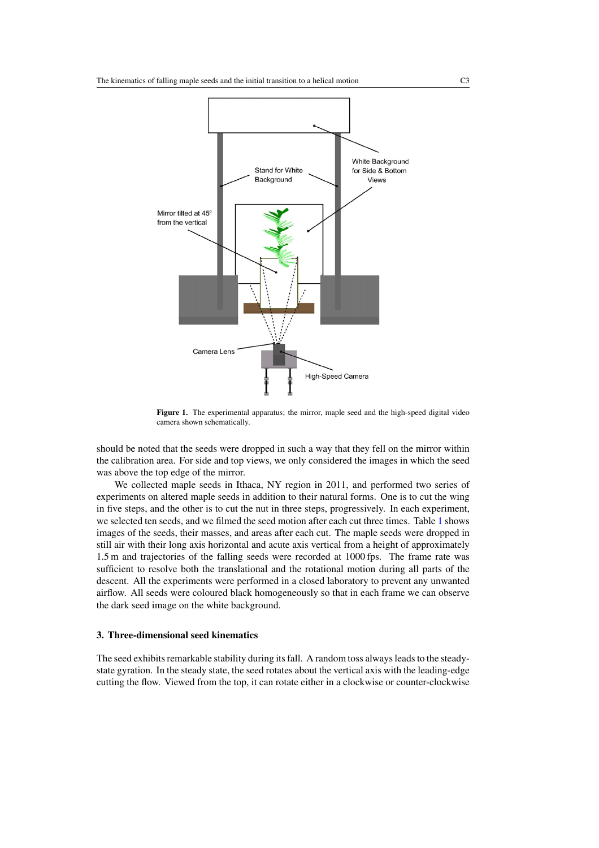<span id="page-3-0"></span>

**Figure 1.** The experimental apparatus; the mirror, maple seed and the high-speed digital video camera shown schematically.

should be noted that the seeds were dropped in such a way that they fell on the mirror within the calibration area. For side and top views, we only considered the images in which the seed was above the top edge of the mirror.

We collected maple seeds in Ithaca, NY region in 2011, and performed two series of experiments on altered maple seeds in addition to their natural forms. One is to cut the wing in five steps, and the other is to cut the nut in three steps, progressively. In each experiment, we selected ten seeds, and we filmed the seed motion after each cut three times. Table [1](#page-4-0) shows images of the seeds, their masses, and areas after each cut. The maple seeds were dropped in still air with their long axis horizontal and acute axis vertical from a height of approximately 1.5 m and trajectories of the falling seeds were recorded at 1000 fps. The frame rate was sufficient to resolve both the translational and the rotational motion during all parts of the descent. All the experiments were performed in a closed laboratory to prevent any unwanted airflow. All seeds were coloured black homogeneously so that in each frame we can observe the dark seed image on the white background.

## **3. Three-dimensional seed kinematics**

The seed exhibits remarkable stability during its fall. A random toss always leads to the steadystate gyration. In the steady state, the seed rotates about the vertical axis with the leading-edge cutting the flow. Viewed from the top, it can rotate either in a clockwise or counter-clockwise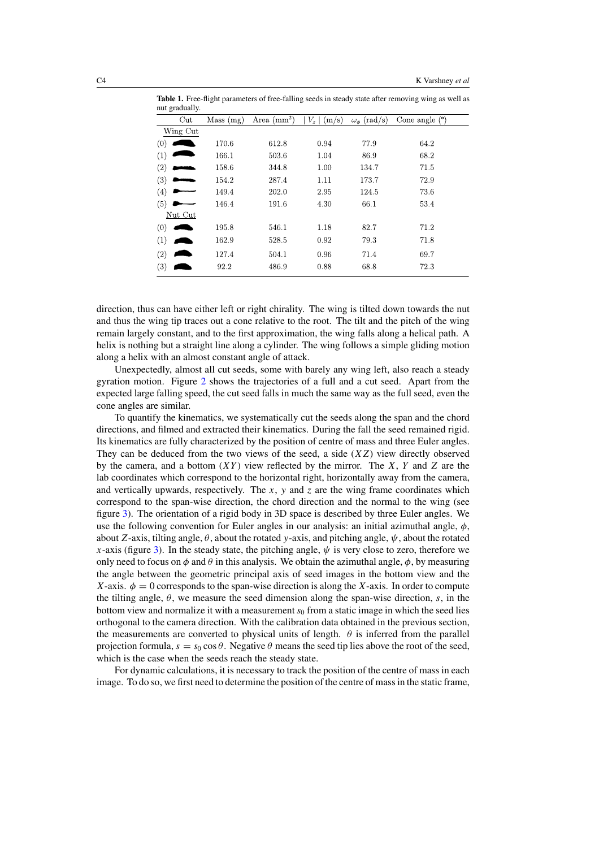| nut gradually.      |           |                                 |                |                         |                  |
|---------------------|-----------|---------------------------------|----------------|-------------------------|------------------|
| $_{\text{Cut}}$     | Mass (mg) | Area $\left(\text{mm}^2\right)$ | $V_z$<br>(m/s) | $\omega_{\phi}$ (rad/s) | Cone angle $(°)$ |
| Wing Cut            |           |                                 |                |                         |                  |
| (0)                 | 170.6     | 612.8                           | 0.94           | 77.9                    | 64.2             |
| (1)                 | 166.1     | 503.6                           | 1.04           | 86.9                    | 68.2             |
| $\scriptstyle{(2)}$ | 158.6     | 344.8                           | 1.00           | 134.7                   | 71.5             |
| (3)                 | 154.2     | 287.4                           | 1.11           | 173.7                   | 72.9             |
| (4)                 | 149.4     | 202.0                           | 2.95           | 124.5                   | 73.6             |
| (5)                 | 146.4     | 191.6                           | 4.30           | 66.1                    | 53.4             |
| Nut Cut             |           |                                 |                |                         |                  |
| (0)                 | 195.8     | 546.1                           | 1.18           | 82.7                    | 71.2             |
| (1)                 | 162.9     | 528.5                           | 0.92           | 79.3                    | 71.8             |
| (2)                 | 127.4     | 504.1                           | 0.96           | 71.4                    | 69.7             |
| (3)                 | 92.2      | 486.9                           | 0.88           | 68.8                    | 72.3             |

<span id="page-4-0"></span>**Table 1.** Free-flight parameters of free-falling seeds in steady state after removing wing as well as

direction, thus can have either left or right chirality. The wing is tilted down towards the nut and thus the wing tip traces out a cone relative to the root. The tilt and the pitch of the wing remain largely constant, and to the first approximation, the wing falls along a helical path. A helix is nothing but a straight line along a cylinder. The wing follows a simple gliding motion along a helix with an almost constant angle of attack.

Unexpectedly, almost all cut seeds, some with barely any wing left, also reach a steady gyration motion. Figure [2](#page-5-0) shows the trajectories of a full and a cut seed. Apart from the expected large falling speed, the cut seed falls in much the same way as the full seed, even the cone angles are similar.

To quantify the kinematics, we systematically cut the seeds along the span and the chord directions, and filmed and extracted their kinematics. During the fall the seed remained rigid. Its kinematics are fully characterized by the position of centre of mass and three Euler angles. They can be deduced from the two views of the seed, a side (*XZ*) view directly observed by the camera, and a bottom (*XY* ) view reflected by the mirror. The *X*, *Y* and *Z* are the lab coordinates which correspond to the horizontal right, horizontally away from the camera, and vertically upwards, respectively. The *x*, *y* and *z* are the wing frame coordinates which correspond to the span-wise direction, the chord direction and the normal to the wing (see figure [3\)](#page-6-0). The orientation of a rigid body in 3D space is described by three Euler angles. We use the following convention for Euler angles in our analysis: an initial azimuthal angle,  $\phi$ , about *Z*-axis, tilting angle, *θ*, about the rotated *y*-axis, and pitching angle, *ψ*, about the rotated *x*-axis (figure [3\)](#page-6-0). In the steady state, the pitching angle,  $\psi$  is very close to zero, therefore we only need to focus on  $\phi$  and  $\theta$  in this analysis. We obtain the azimuthal angle,  $\phi$ , by measuring the angle between the geometric principal axis of seed images in the bottom view and the *X*-axis.  $\phi = 0$  corresponds to the span-wise direction is along the *X*-axis. In order to compute the tilting angle, *θ*, we measure the seed dimension along the span-wise direction, *s*, in the bottom view and normalize it with a measurement  $s<sub>0</sub>$  from a static image in which the seed lies orthogonal to the camera direction. With the calibration data obtained in the previous section, the measurements are converted to physical units of length. *θ* is inferred from the parallel projection formula,  $s = s_0 \cos \theta$ . Negative  $\theta$  means the seed tip lies above the root of the seed, which is the case when the seeds reach the steady state.

For dynamic calculations, it is necessary to track the position of the centre of mass in each image. To do so, we first need to determine the position of the centre of mass in the static frame,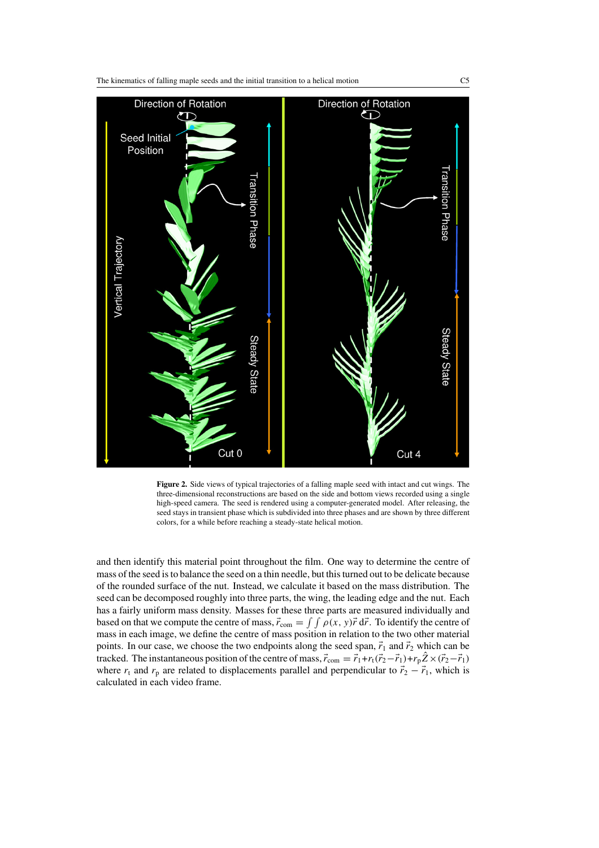<span id="page-5-0"></span>

**Figure 2.** Side views of typical trajectories of a falling maple seed with intact and cut wings. The three-dimensional reconstructions are based on the side and bottom views recorded using a single high-speed camera. The seed is rendered using a computer-generated model. After releasing, the seed stays in transient phase which is subdivided into three phases and are shown by three different colors, for a while before reaching a steady-state helical motion.

and then identify this material point throughout the film. One way to determine the centre of mass of the seed is to balance the seed on a thin needle, but this turned out to be delicate because of the rounded surface of the nut. Instead, we calculate it based on the mass distribution. The seed can be decomposed roughly into three parts, the wing, the leading edge and the nut. Each has a fairly uniform mass density. Masses for these three parts are measured individually and based on that we compute the centre of mass,  $\vec{r}_{\text{com}} = \int \int \rho(x, y)\vec{r} \, d\vec{r}$ . To identify the centre of mass in each image, we define the centre of mass position in relation to the two other material points. In our case, we choose the two endpoints along the seed span,  $\vec{r}_1$  and  $\vec{r}_2$  which can be tracked. The instantaneous position of the centre of mass,  $\vec{r}_{com} = \vec{r}_1 + r_t(\vec{r}_2 - \vec{r}_1) + r_p Z \times (\vec{r}_2 - \vec{r}_1)$ where  $r_t$  and  $r_p$  are related to displacements parallel and perpendicular to  $\vec{r}_2 - \vec{r}_1$ , which is calculated in each video frame.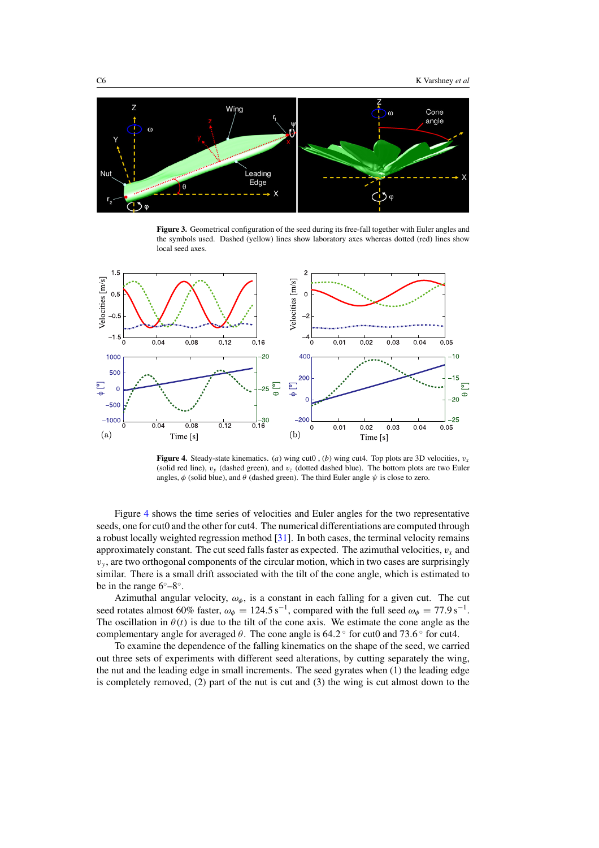<span id="page-6-0"></span>

Figure 3. Geometrical configuration of the seed during its free-fall together with Euler angles and the symbols used. Dashed (yellow) lines show laboratory axes whereas dotted (red) lines show local seed axes.



**Figure 4.** Steady-state kinematics. (*a*) wing cut0, (*b*) wing cut4. Top plots are 3D velocities,  $v_x$ (solid red line), *vy* (dashed green), and *vz* (dotted dashed blue). The bottom plots are two Euler angles,  $\phi$  (solid blue), and  $\theta$  (dashed green). The third Euler angle  $\psi$  is close to zero.

Figure 4 shows the time series of velocities and Euler angles for the two representative seeds, one for cut0 and the other for cut4. The numerical differentiations are computed through a robust locally weighted regression method [\[31\]](#page-8-0). In both cases, the terminal velocity remains approximately constant. The cut seed falls faster as expected. The azimuthal velocities,  $v_x$  and  $v_y$ , are two orthogonal components of the circular motion, which in two cases are surprisingly similar. There is a small drift associated with the tilt of the cone angle, which is estimated to be in the range  $6^\circ - 8^\circ$ .

Azimuthal angular velocity,  $\omega_{\phi}$ , is a constant in each falling for a given cut. The cut seed rotates almost 60% faster,  $\omega_{\phi} = 124.5 \text{ s}^{-1}$ , compared with the full seed  $\omega_{\phi} = 77.9 \text{ s}^{-1}$ . The oscillation in  $\theta(t)$  is due to the tilt of the cone axis. We estimate the cone angle as the complementary angle for averaged *θ*. The cone angle is 64.2<sup>°</sup> for cut0 and 73.6<sup>°</sup> for cut4.

To examine the dependence of the falling kinematics on the shape of the seed, we carried out three sets of experiments with different seed alterations, by cutting separately the wing, the nut and the leading edge in small increments. The seed gyrates when (1) the leading edge is completely removed, (2) part of the nut is cut and (3) the wing is cut almost down to the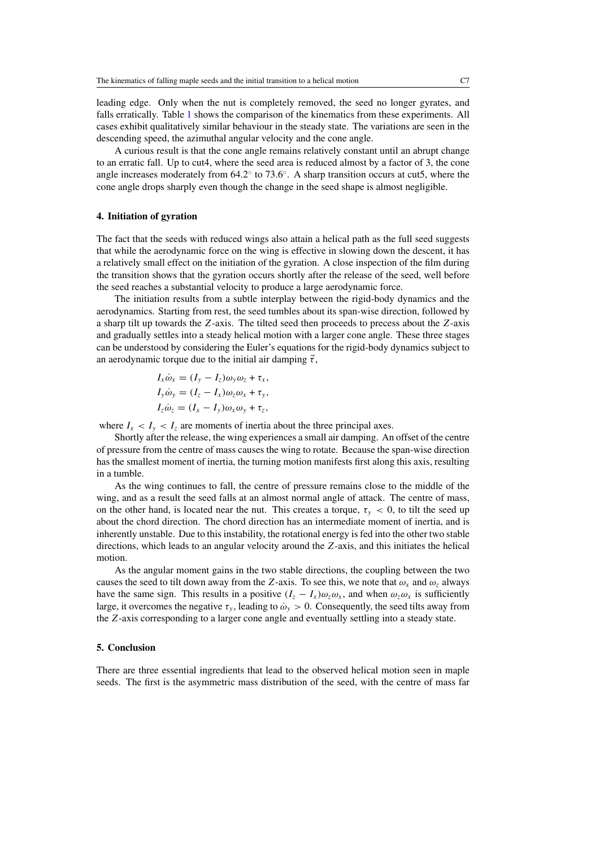leading edge. Only when the nut is completely removed, the seed no longer gyrates, and falls erratically. Table [1](#page-4-0) shows the comparison of the kinematics from these experiments. All cases exhibit qualitatively similar behaviour in the steady state. The variations are seen in the descending speed, the azimuthal angular velocity and the cone angle.

A curious result is that the cone angle remains relatively constant until an abrupt change to an erratic fall. Up to cut4, where the seed area is reduced almost by a factor of 3, the cone angle increases moderately from  $64.2°$  to  $73.6°$ . A sharp transition occurs at cut5, where the cone angle drops sharply even though the change in the seed shape is almost negligible.

### **4. Initiation of gyration**

The fact that the seeds with reduced wings also attain a helical path as the full seed suggests that while the aerodynamic force on the wing is effective in slowing down the descent, it has a relatively small effect on the initiation of the gyration. A close inspection of the film during the transition shows that the gyration occurs shortly after the release of the seed, well before the seed reaches a substantial velocity to produce a large aerodynamic force.

The initiation results from a subtle interplay between the rigid-body dynamics and the aerodynamics. Starting from rest, the seed tumbles about its span-wise direction, followed by a sharp tilt up towards the *Z*-axis. The tilted seed then proceeds to precess about the *Z*-axis and gradually settles into a steady helical motion with a larger cone angle. These three stages can be understood by considering the Euler's equations for the rigid-body dynamics subject to an aerodynamic torque due to the initial air damping  $\vec{\tau}$ ,

$$
I_x \dot{\omega}_x = (I_y - I_z) \omega_y \omega_z + \tau_x,
$$
  
\n
$$
I_y \dot{\omega}_y = (I_z - I_x) \omega_z \omega_x + \tau_y,
$$
  
\n
$$
I_z \dot{\omega}_z = (I_x - I_y) \omega_x \omega_y + \tau_z,
$$

where  $I_x < I_y < I_z$  are moments of inertia about the three principal axes.

Shortly after the release, the wing experiences a small air damping. An offset of the centre of pressure from the centre of mass causes the wing to rotate. Because the span-wise direction has the smallest moment of inertia, the turning motion manifests first along this axis, resulting in a tumble.

As the wing continues to fall, the centre of pressure remains close to the middle of the wing, and as a result the seed falls at an almost normal angle of attack. The centre of mass, on the other hand, is located near the nut. This creates a torque,  $\tau_y < 0$ , to tilt the seed up about the chord direction. The chord direction has an intermediate moment of inertia, and is inherently unstable. Due to this instability, the rotational energy is fed into the other two stable directions, which leads to an angular velocity around the *Z*-axis, and this initiates the helical motion.

As the angular moment gains in the two stable directions, the coupling between the two causes the seed to tilt down away from the *Z*-axis. To see this, we note that  $\omega_x$  and  $\omega_z$  always have the same sign. This results in a positive  $(I_z - I_x)\omega_z \omega_x$ , and when  $\omega_z \omega_x$  is sufficiently large, it overcomes the negative  $\tau_y$ , leading to  $\dot{\omega}_y > 0$ . Consequently, the seed tilts away from the *Z*-axis corresponding to a larger cone angle and eventually settling into a steady state.

## **5. Conclusion**

There are three essential ingredients that lead to the observed helical motion seen in maple seeds. The first is the asymmetric mass distribution of the seed, with the centre of mass far